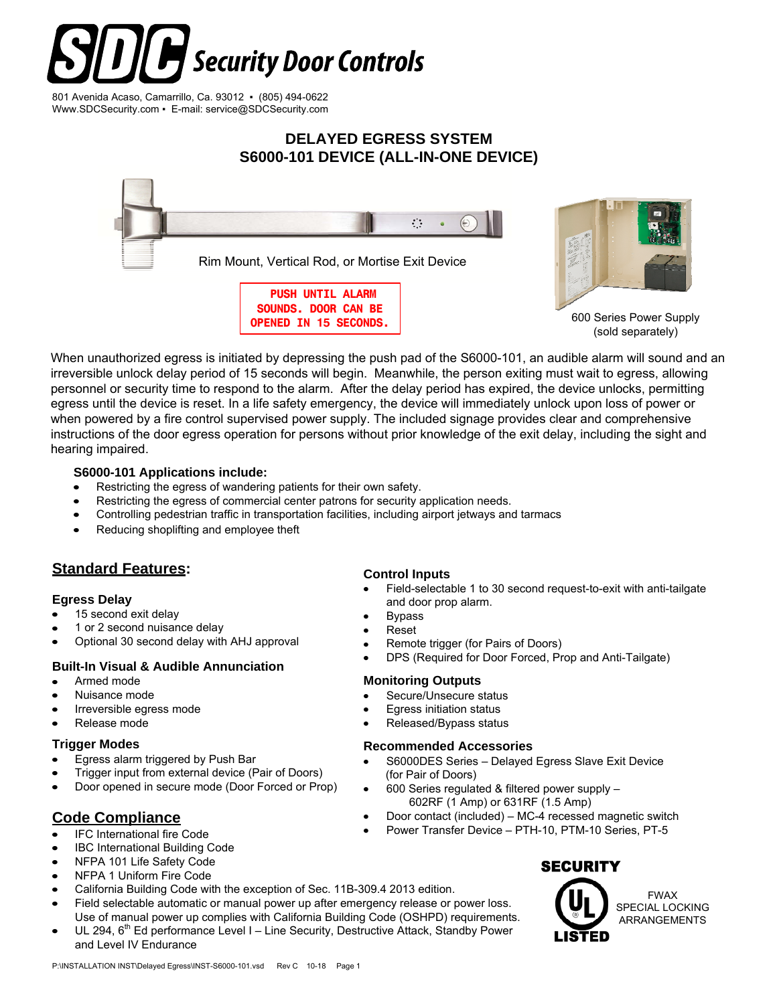# Security Door Controls

801 Avenida Acaso, Camarrillo, Ca. 93012 ▪ (805) 494-0622 Www.SDCSecurity.com ▪ E-mail: service@SDCSecurity.com

# **DELAYED EGRESS SYSTEM S6000-101 DEVICE (ALL-IN-ONE DEVICE)**





600 Series Power Supply (sold separately)

When unauthorized egress is initiated by depressing the push pad of the S6000-101, an audible alarm will sound and an irreversible unlock delay period of 15 seconds will begin. Meanwhile, the person exiting must wait to egress, allowing personnel or security time to respond to the alarm. After the delay period has expired, the device unlocks, permitting egress until the device is reset. In a life safety emergency, the device will immediately unlock upon loss of power or when powered by a fire control supervised power supply. The included signage provides clear and comprehensive instructions of the door egress operation for persons without prior knowledge of the exit delay, including the sight and hearing impaired.

### **S6000-101 Applications include:**

- Restricting the egress of wandering patients for their own safety.
- Restricting the egress of commercial center patrons for security application needs.
- Controlling pedestrian traffic in transportation facilities, including airport jetways and tarmacs  $\bullet$
- Reducing shoplifting and employee theft

# **Standard Features:**

# **Egress Delay**

- 15 second exit delay
- 1 or 2 second nuisance delay
- Optional 30 second delay with AHJ approval

- Armed mode
- Nuisance mode
- Irreversible egress mode
- Release mode

### **Trigger Modes**

- Egress alarm triggered by Push Bar
- Trigger input from external device (Pair of Doors)
- Door opened in secure mode (Door Forced or Prop)

# **Code Compliance**

- IFC International fire Code
- IBC International Building Code
- NFPA 101 Life Safety Code  $\bullet$
- NFPA 1 Uniform Fire Code  $\bullet$
- California Building Code with the exception of Sec. 11B-309.4 2013 edition.
- Field selectable automatic or manual power up after emergency release or power loss. Use of manual power up complies with California Building Code (OSHPD) requirements.
- UL 294,  $6<sup>th</sup>$  Ed performance Level I Line Security, Destructive Attack, Standby Power and Level IV Endurance

# **Control Inputs**

- Field-selectable 1 to 30 second request-to-exit with anti-tailgate and door prop alarm.
- Bypass
- Reset
- Remote trigger (for Pairs of Doors)
- DPS (Required for Door Forced, Prop and Anti-Tailgate) **Built-In Visual & Audible Annunciation**

# **Monitoring Outputs**

- Secure/Unsecure status
- Egress initiation status
- Released/Bypass status

### **Recommended Accessories**

- S6000DES Series Delayed Egress Slave Exit Device (for Pair of Doors)
- 600 Series regulated & filtered power supply 602RF (1 Amp) or 631RF (1.5 Amp)
- Door contact (included) MC-4 recessed magnetic switch
	- Power Transfer Device PTH-10, PTM-10 Series, PT-5

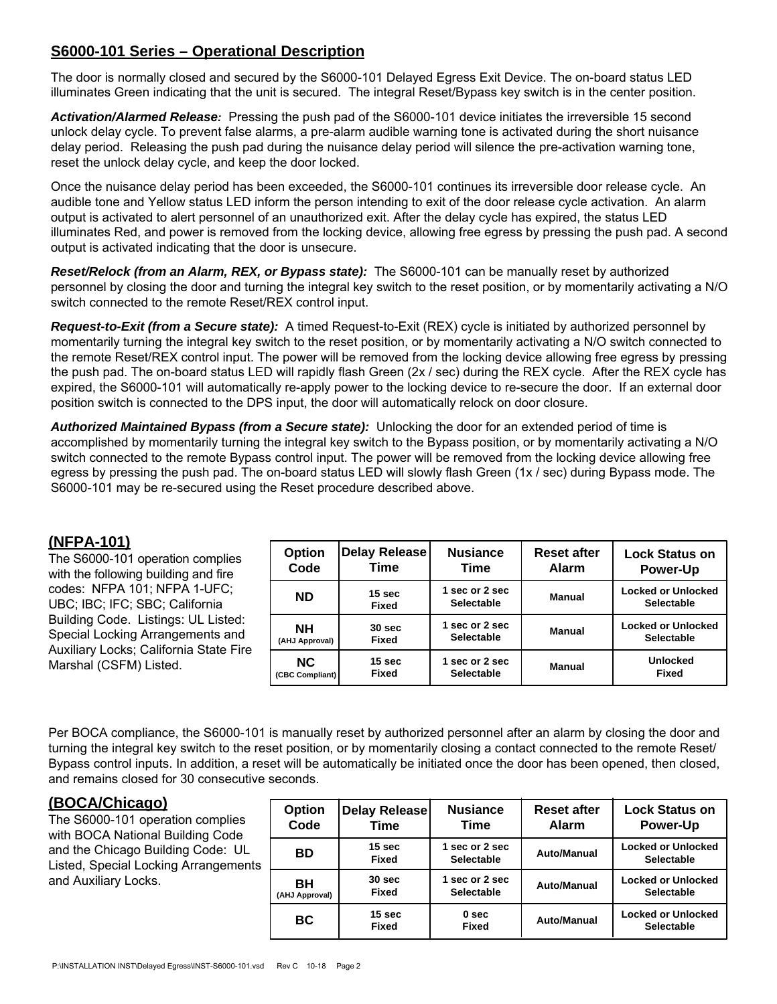# **S6000-101 Series – Operational Description**

The door is normally closed and secured by the S6000-101 Delayed Egress Exit Device. The on-board status LED illuminates Green indicating that the unit is secured. The integral Reset/Bypass key switch is in the center position.

*Activation/Alarmed Release:* Pressing the push pad of the S6000-101 device initiates the irreversible 15 second unlock delay cycle. To prevent false alarms, a pre-alarm audible warning tone is activated during the short nuisance delay period. Releasing the push pad during the nuisance delay period will silence the pre-activation warning tone, reset the unlock delay cycle, and keep the door locked.

Once the nuisance delay period has been exceeded, the S6000-101 continues its irreversible door release cycle. An audible tone and Yellow status LED inform the person intending to exit of the door release cycle activation. An alarm output is activated to alert personnel of an unauthorized exit. After the delay cycle has expired, the status LED illuminates Red, and power is removed from the locking device, allowing free egress by pressing the push pad. A second output is activated indicating that the door is unsecure.

*Reset/Relock (from an Alarm, REX, or Bypass state):* The S6000-101 can be manually reset by authorized personnel by closing the door and turning the integral key switch to the reset position, or by momentarily activating a N/O switch connected to the remote Reset/REX control input.

*Request-to-Exit (from a Secure state):* A timed Request-to-Exit (REX) cycle is initiated by authorized personnel by momentarily turning the integral key switch to the reset position, or by momentarily activating a N/O switch connected to the remote Reset/REX control input. The power will be removed from the locking device allowing free egress by pressing the push pad. The on-board status LED will rapidly flash Green (2x / sec) during the REX cycle. After the REX cycle has expired, the S6000-101 will automatically re-apply power to the locking device to re-secure the door. If an external door position switch is connected to the DPS input, the door will automatically relock on door closure.

*Authorized Maintained Bypass (from a Secure state):* Unlocking the door for an extended period of time is accomplished by momentarily turning the integral key switch to the Bypass position, or by momentarily activating a N/O switch connected to the remote Bypass control input. The power will be removed from the locking device allowing free egress by pressing the push pad. The on-board status LED will slowly flash Green (1x / sec) during Bypass mode. The S6000-101 may be re-secured using the Reset procedure described above.

# **(NFPA-101)**

| , , , , , , , , , , ,<br>The S6000-101 operation complies<br>with the following building and fire<br>codes: NFPA 101; NFPA 1-UFC;<br>UBC; IBC; IFC; SBC; California<br>Building Code. Listings: UL Listed:<br>Special Locking Arrangements and<br>Auxiliary Locks; California State Fire<br>Marshal (CSFM) Listed. | <b>Option</b><br>Code       | Delay Release<br>Time             | <b>Nusiance</b><br>Time           | <b>Reset after</b><br><b>Alarm</b> | <b>Lock Status on</b><br><b>Power-Up</b>       |
|--------------------------------------------------------------------------------------------------------------------------------------------------------------------------------------------------------------------------------------------------------------------------------------------------------------------|-----------------------------|-----------------------------------|-----------------------------------|------------------------------------|------------------------------------------------|
|                                                                                                                                                                                                                                                                                                                    | <b>ND</b>                   | 15 <sub>sec</sub><br><b>Fixed</b> | sec or 2 sec<br><b>Selectable</b> | Manual                             | <b>Locked or Unlocked</b><br><b>Selectable</b> |
|                                                                                                                                                                                                                                                                                                                    | <b>NH</b><br>(AHJ Approval) | 30 <sub>sec</sub><br><b>Fixed</b> | sec or 2 sec<br><b>Selectable</b> | Manual                             | <b>Locked or Unlocked</b><br><b>Selectable</b> |
|                                                                                                                                                                                                                                                                                                                    | NC.<br>(CBC Compliant)      | 15 <sub>sec</sub><br><b>Fixed</b> | sec or 2 sec<br><b>Selectable</b> | Manual                             | <b>Unlocked</b><br><b>Fixed</b>                |

Per BOCA compliance, the S6000-101 is manually reset by authorized personnel after an alarm by closing the door and turning the integral key switch to the reset position, or by momentarily closing a contact connected to the remote Reset/ Bypass control inputs. In addition, a reset will be automatically be initiated once the door has been opened, then closed, and remains closed for 30 consecutive seconds.

# **(BOCA/Chicago)**

The S6000-101 operation complies with BOCA National Building Code and the Chicago Building Code: UL Listed, Special Locking Arrangements and Auxiliary Locks.

| <b>Option</b>  | <b>Delay Release</b>       | <b>Nusiance</b>                     | <b>Reset after</b> | <b>Lock Status on</b>                          |
|----------------|----------------------------|-------------------------------------|--------------------|------------------------------------------------|
| Code           | Time                       | <b>Time</b>                         | <b>Alarm</b>       | <b>Power-Up</b>                                |
| ВD             | 15 sec<br><b>Fixed</b>     | 1 sec or 2 sec<br><b>Selectable</b> | <b>Auto/Manual</b> | <b>Locked or Unlocked</b><br>Selectable        |
| BН             | 30 sec                     | 1 sec or 2 sec                      | <b>Auto/Manual</b> | <b>Locked or Unlocked</b>                      |
| (AHJ Approval) | <b>Fixed</b>               | <b>Selectable</b>                   |                    | Selectable                                     |
| <b>BC</b>      | 15 <sub>sec</sub><br>Fixed | 0 <sub>sec</sub><br><b>Fixed</b>    | <b>Auto/Manual</b> | <b>Locked or Unlocked</b><br><b>Selectable</b> |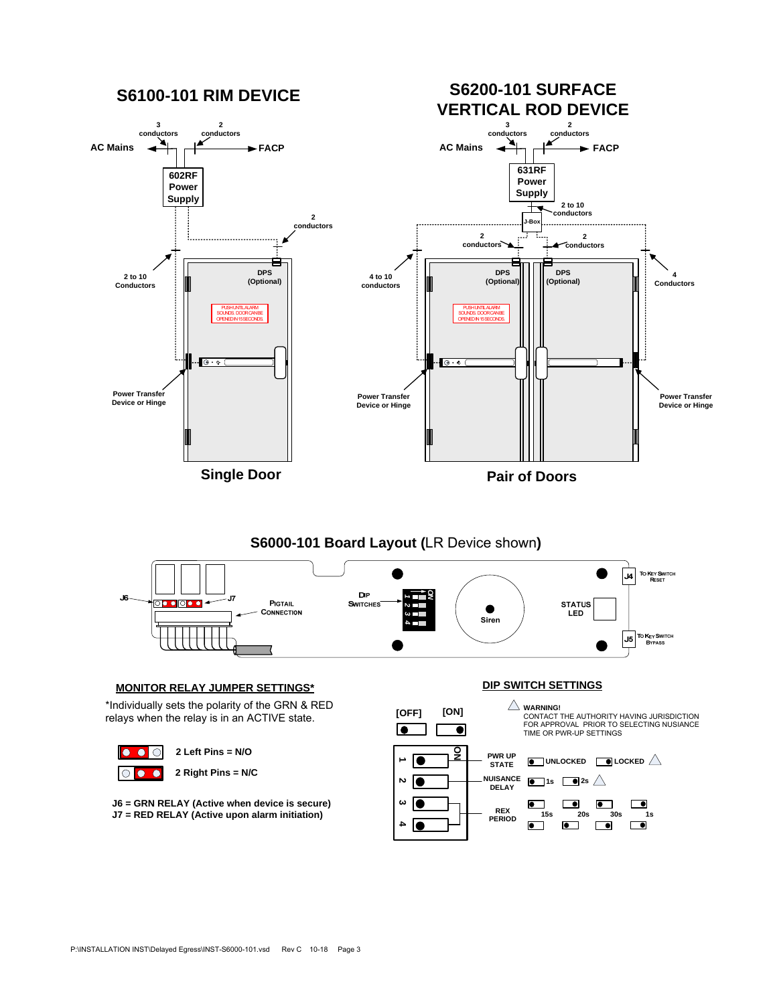



#### **MONITOR RELAY JUMPER SETTINGS\***

\*Individually sets the polarity of the GRN & RED relays when the relay is in an ACTIVE state.



**J6 = GRN RELAY (Active when device is secure) J7 = RED RELAY (Active upon alarm initiation)**

**DIP SWITCH SETTINGS**

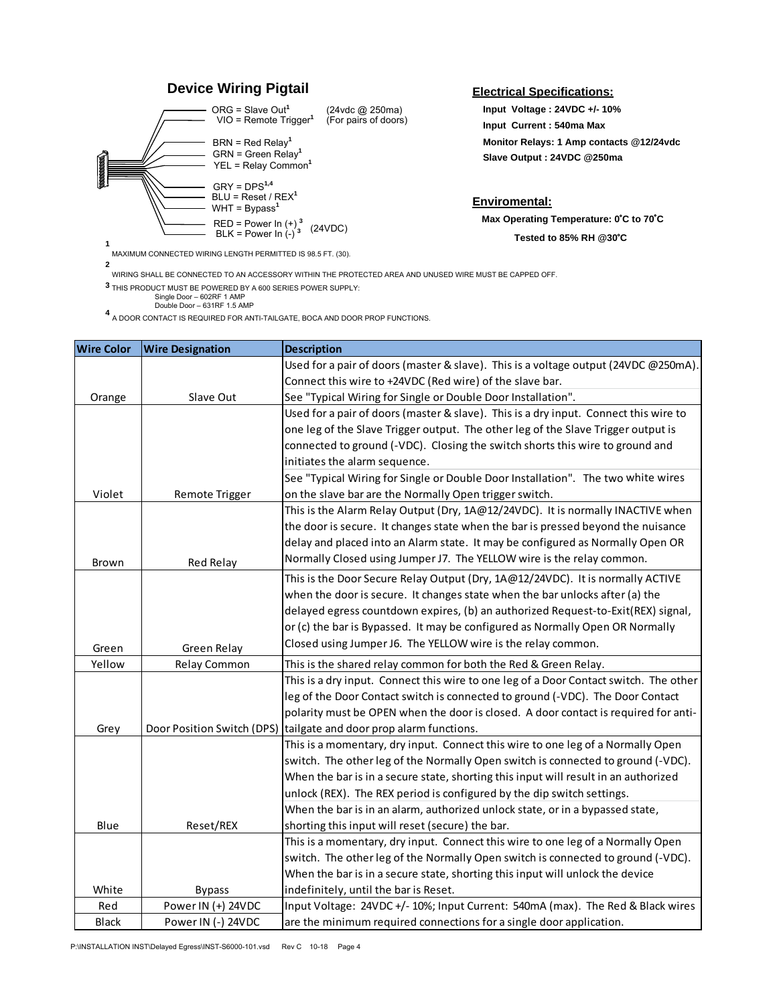



**2** MAXIMUM CONNECTED WIRING LENGTH PERMITTED IS 98.5 FT. (30). **Electrical Specifications:**

**Input Voltage : 24VDC +/- 10% Slave Output : 24VDC @250ma Monitor Relays: 1 Amp contacts @12/24vdc Input Current : 540ma Max**

# **Enviromental:**

**Max Operating Temperature: 0°C to 70°C** 

**Tested to 85% RH @30 C**

WIRING SHALL BE CONNECTED TO AN ACCESSORY WITHIN THE PROTECTED AREA AND UNUSED WIRE MUST BE CAPPED OFF.

THIS PRODUCT MUST BE POWERED BY A 600 SERIES POWER SUPPLY: **3**

Single Door – 602RF 1 AMP Double Door – 631RF 1.5 AMP

A DOOR CONTACT IS REQUIRED FOR ANTI-TAILGATE, BOCA AND DOOR PROP FUNCTIONS. **<sup>4</sup>**

| <b>Wire Color</b> | <b>Wire Designation</b>    | <b>Description</b>                                                                    |
|-------------------|----------------------------|---------------------------------------------------------------------------------------|
|                   |                            | Used for a pair of doors (master & slave). This is a voltage output (24VDC @250mA)    |
|                   |                            | Connect this wire to +24VDC (Red wire) of the slave bar.                              |
| Orange            | Slave Out                  | See "Typical Wiring for Single or Double Door Installation".                          |
|                   |                            | Used for a pair of doors (master & slave). This is a dry input. Connect this wire to  |
|                   |                            | one leg of the Slave Trigger output. The other leg of the Slave Trigger output is     |
|                   |                            | connected to ground (-VDC). Closing the switch shorts this wire to ground and         |
|                   |                            | initiates the alarm sequence.                                                         |
|                   |                            | See "Typical Wiring for Single or Double Door Installation". The two white wires      |
| Violet            | Remote Trigger             | on the slave bar are the Normally Open trigger switch.                                |
|                   |                            | This is the Alarm Relay Output (Dry, 1A@12/24VDC). It is normally INACTIVE when       |
|                   |                            | the door is secure. It changes state when the bar is pressed beyond the nuisance      |
|                   |                            | delay and placed into an Alarm state. It may be configured as Normally Open OR        |
| Brown             | Red Relay                  | Normally Closed using Jumper J7. The YELLOW wire is the relay common.                 |
|                   |                            | This is the Door Secure Relay Output (Dry, 1A@12/24VDC). It is normally ACTIVE        |
|                   |                            | when the door is secure. It changes state when the bar unlocks after (a) the          |
|                   |                            | delayed egress countdown expires, (b) an authorized Request-to-Exit(REX) signal,      |
|                   |                            | or (c) the bar is Bypassed. It may be configured as Normally Open OR Normally         |
| Green             | Green Relay                | Closed using Jumper J6. The YELLOW wire is the relay common.                          |
| Yellow            | Relay Common               | This is the shared relay common for both the Red & Green Relay.                       |
|                   |                            | This is a dry input. Connect this wire to one leg of a Door Contact switch. The other |
|                   |                            | leg of the Door Contact switch is connected to ground (-VDC). The Door Contact        |
|                   |                            | polarity must be OPEN when the door is closed. A door contact is required for anti-   |
| Grey              | Door Position Switch (DPS) | tailgate and door prop alarm functions.                                               |
|                   |                            | This is a momentary, dry input. Connect this wire to one leg of a Normally Open       |
|                   |                            | switch. The other leg of the Normally Open switch is connected to ground (-VDC).      |
|                   |                            | When the bar is in a secure state, shorting this input will result in an authorized   |
|                   |                            | unlock (REX). The REX period is configured by the dip switch settings.                |
|                   |                            | When the bar is in an alarm, authorized unlock state, or in a bypassed state,         |
| Blue              | Reset/REX                  | shorting this input will reset (secure) the bar.                                      |
|                   |                            | This is a momentary, dry input. Connect this wire to one leg of a Normally Open       |
|                   |                            | switch. The other leg of the Normally Open switch is connected to ground (-VDC).      |
|                   |                            | When the bar is in a secure state, shorting this input will unlock the device         |
| White             | <b>Bypass</b>              | indefinitely, until the bar is Reset.                                                 |
| Red               | Power IN (+) 24VDC         | Input Voltage: 24VDC +/- 10%; Input Current: 540mA (max). The Red & Black wires       |
| <b>Black</b>      | Power IN (-) 24VDC         | are the minimum required connections for a single door application.                   |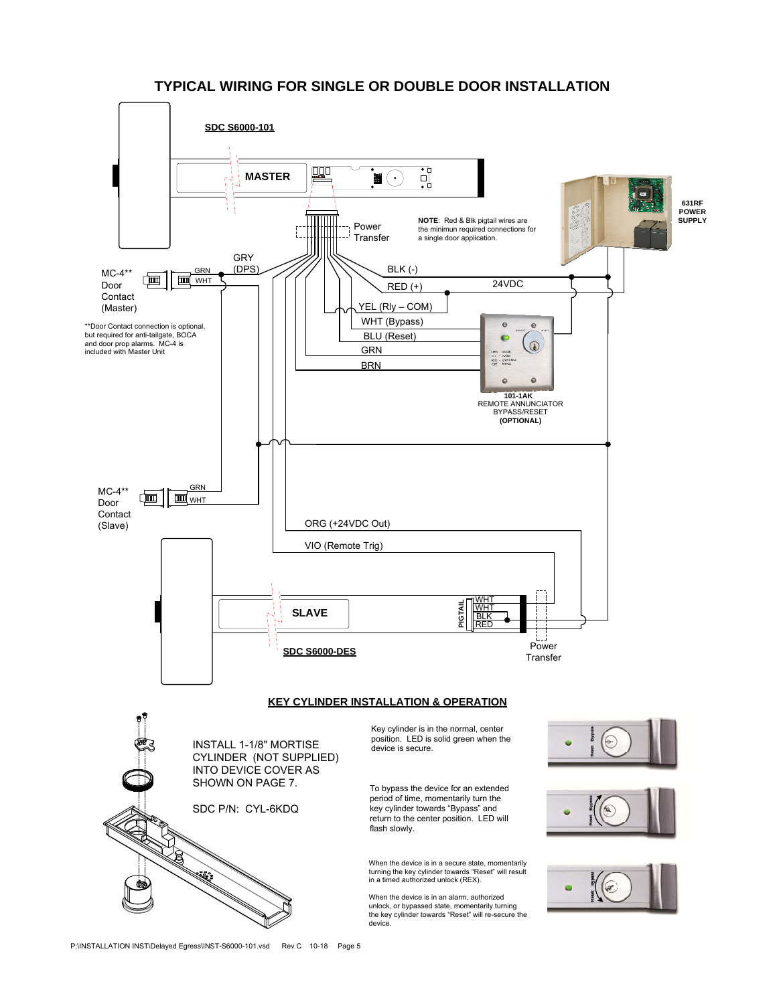# **TYPICAL WIRING FOR SINGLE OR DOUBLE DOOR INSTALLATION**

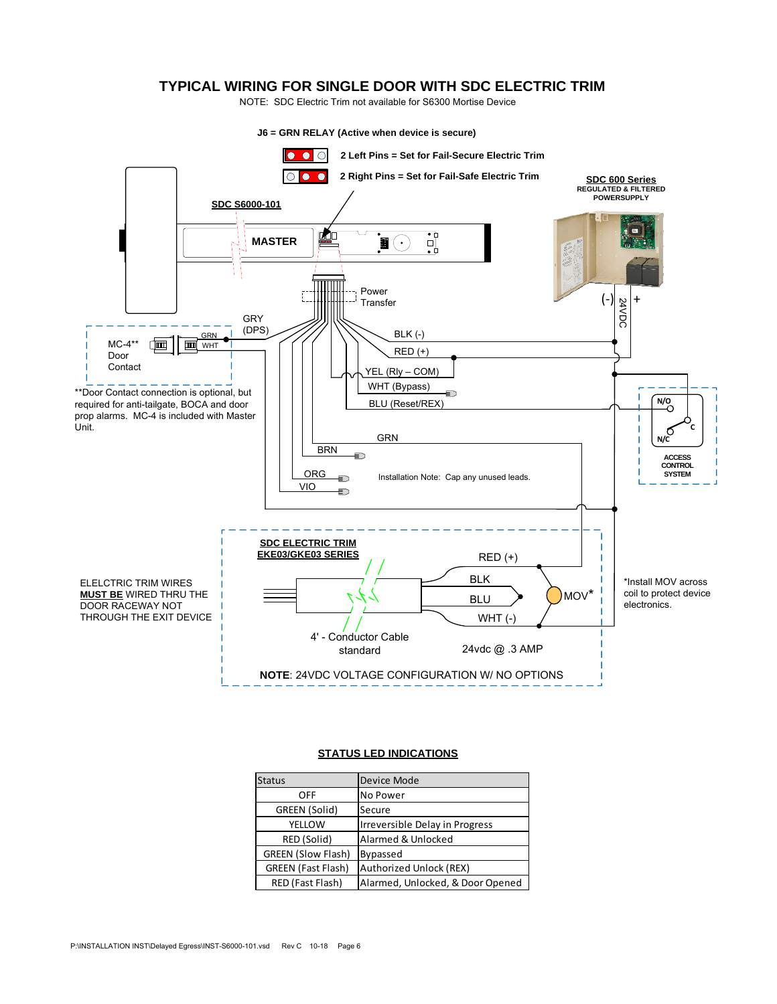### **TYPICAL WIRING FOR SINGLE DOOR WITH SDC ELECTRIC TRIM**

NOTE: SDC Electric Trim not available for S6300 Mortise Device



#### **STATUS LED INDICATIONS**

| <b>Status</b>             | Device Mode                      |
|---------------------------|----------------------------------|
| <b>OFF</b>                | No Power                         |
| GREEN (Solid)             | Secure                           |
| <b>YELLOW</b>             | Irreversible Delay in Progress   |
| RED (Solid)               | Alarmed & Unlocked               |
| <b>GREEN (Slow Flash)</b> | Bypassed                         |
| <b>GREEN (Fast Flash)</b> | Authorized Unlock (REX)          |
| RED (Fast Flash)          | Alarmed, Unlocked, & Door Opened |